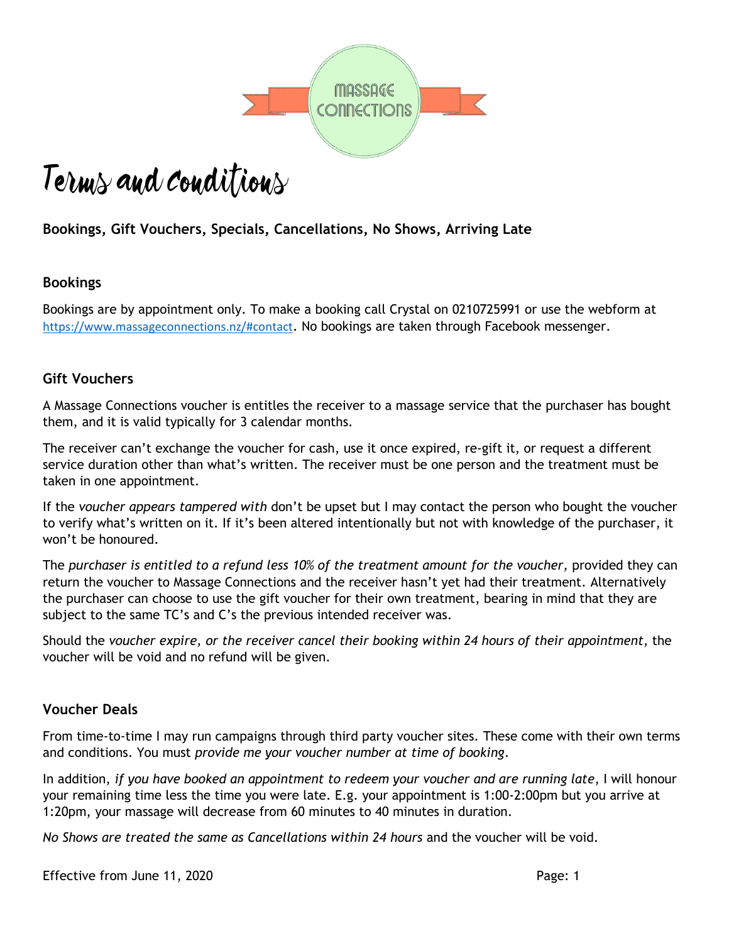

# Terms and conditions

# **Bookings, Gift Vouchers, Specials, Cancellations, No Shows, Arriving Late**

# **Bookings**

Bookings are by appointment only. To make a booking call Crystal on 0210725991 or use the webform at <https://www.massageconnections.nz/#contact>. No bookings are taken through Facebook messenger.

# **Gift Vouchers**

A Massage Connections voucher is entitles the receiver to a massage service that the purchaser has bought them, and it is valid typically for 3 calendar months.

The receiver can't exchange the voucher for cash, use it once expired, re-gift it, or request a different service duration other than what's written. The receiver must be one person and the treatment must be taken in one appointment.

If the *voucher appears tampered with* don't be upset but I may contact the person who bought the voucher to verify what's written on it. If it's been altered intentionally but not with knowledge of the purchaser, it won't be honoured.

The *purchaser is entitled to a refund less 10% of the treatment amount for the voucher,* provided they can return the voucher to Massage Connections and the receiver hasn't yet had their treatment. Alternatively the purchaser can choose to use the gift voucher for their own treatment, bearing in mind that they are subject to the same TC's and C's the previous intended receiver was.

Should the *voucher expire, or the receiver cancel their booking within 24 hours of their appointment*, the voucher will be void and no refund will be given.

# **Voucher Deals**

From time-to-time I may run campaigns through third party voucher sites. These come with their own terms and conditions. You must *provide me your voucher number at time of booking*.

In addition, *if you have booked an appointment to redeem your voucher and are running late*, I will honour your remaining time less the time you were late. E.g. your appointment is 1:00-2:00pm but you arrive at 1:20pm, your massage will decrease from 60 minutes to 40 minutes in duration.

*No Shows are treated the same as Cancellations within 24 hours* and the voucher will be void.

Effective from June 11, 2020 **Page: 1**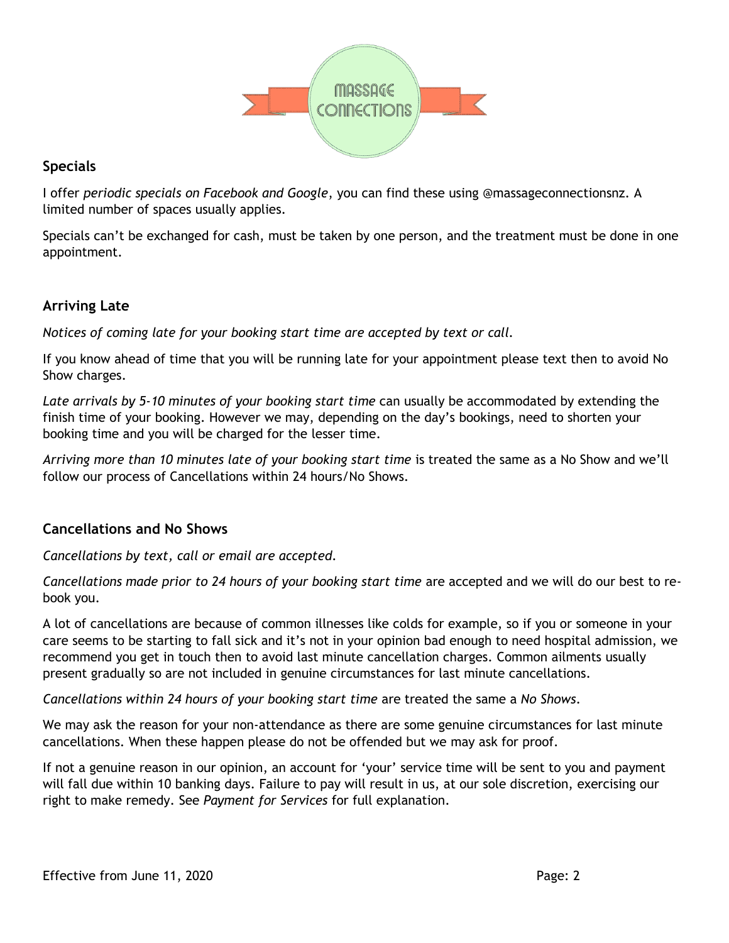

# **Specials**

I offer *periodic specials on Facebook and Google*, you can find these using @massageconnectionsnz. A limited number of spaces usually applies.

Specials can't be exchanged for cash, must be taken by one person, and the treatment must be done in one appointment.

# **Arriving Late**

*Notices of coming late for your booking start time are accepted by text or call.*

If you know ahead of time that you will be running late for your appointment please text then to avoid No Show charges.

*Late arrivals by 5-10 minutes of your booking start time* can usually be accommodated by extending the finish time of your booking. However we may, depending on the day's bookings, need to shorten your booking time and you will be charged for the lesser time.

*Arriving more than 10 minutes late of your booking start time* is treated the same as a No Show and we'll follow our process of Cancellations within 24 hours/No Shows.

# **Cancellations and No Shows**

*Cancellations by text, call or email are accepted.*

*Cancellations made prior to 24 hours of your booking start time* are accepted and we will do our best to rebook you.

A lot of cancellations are because of common illnesses like colds for example, so if you or someone in your care seems to be starting to fall sick and it's not in your opinion bad enough to need hospital admission, we recommend you get in touch then to avoid last minute cancellation charges. Common ailments usually present gradually so are not included in genuine circumstances for last minute cancellations.

*Cancellations within 24 hours of your booking start time* are treated the same a *No Shows*.

We may ask the reason for your non-attendance as there are some genuine circumstances for last minute cancellations. When these happen please do not be offended but we may ask for proof.

If not a genuine reason in our opinion, an account for 'your' service time will be sent to you and payment will fall due within 10 banking days. Failure to pay will result in us, at our sole discretion, exercising our right to make remedy. See *Payment for Services* for full explanation.